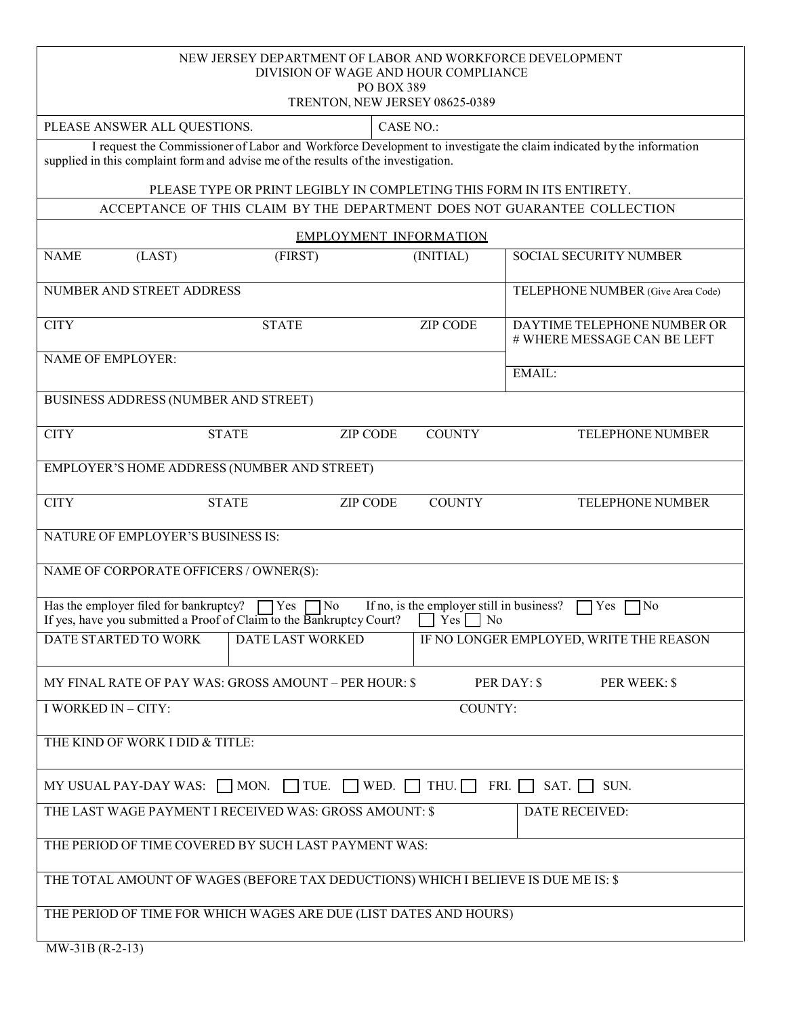| NEW JERSEY DEPARTMENT OF LABOR AND WORKFORCE DEVELOPMENT<br>DIVISION OF WAGE AND HOUR COMPLIANCE<br>PO BOX 389<br>TRENTON, NEW JERSEY 08625-0389                                                          |                |                  |                                           |                                                            |  |  |  |
|-----------------------------------------------------------------------------------------------------------------------------------------------------------------------------------------------------------|----------------|------------------|-------------------------------------------|------------------------------------------------------------|--|--|--|
| PLEASE ANSWER ALL QUESTIONS.                                                                                                                                                                              |                | <b>CASE NO.:</b> |                                           |                                                            |  |  |  |
| I request the Commissioner of Labor and Workforce Development to investigate the claim indicated by the information<br>supplied in this complaint form and advise me of the results of the investigation. |                |                  |                                           |                                                            |  |  |  |
| PLEASE TYPE OR PRINT LEGIBLY IN COMPLETING THIS FORM IN ITS ENTIRETY.                                                                                                                                     |                |                  |                                           |                                                            |  |  |  |
| ACCEPTANCE OF THIS CLAIM BY THE DEPARTMENT DOES NOT GUARANTEE COLLECTION                                                                                                                                  |                |                  |                                           |                                                            |  |  |  |
| <b>EMPLOYMENT INFORMATION</b>                                                                                                                                                                             |                |                  |                                           |                                                            |  |  |  |
| <b>NAME</b><br>(LAST)                                                                                                                                                                                     | (FIRST)        |                  | (INITIAL)                                 | SOCIAL SECURITY NUMBER                                     |  |  |  |
| NUMBER AND STREET ADDRESS                                                                                                                                                                                 |                |                  |                                           | TELEPHONE NUMBER (Give Area Code)                          |  |  |  |
| <b>CITY</b>                                                                                                                                                                                               | <b>STATE</b>   |                  | <b>ZIP CODE</b>                           | DAYTIME TELEPHONE NUMBER OR<br># WHERE MESSAGE CAN BE LEFT |  |  |  |
| <b>NAME OF EMPLOYER:</b>                                                                                                                                                                                  |                |                  |                                           | EMAIL:                                                     |  |  |  |
| BUSINESS ADDRESS (NUMBER AND STREET)                                                                                                                                                                      |                |                  |                                           |                                                            |  |  |  |
| <b>CITY</b>                                                                                                                                                                                               | <b>STATE</b>   | <b>ZIP CODE</b>  | <b>COUNTY</b>                             | TELEPHONE NUMBER                                           |  |  |  |
| EMPLOYER'S HOME ADDRESS (NUMBER AND STREET)                                                                                                                                                               |                |                  |                                           |                                                            |  |  |  |
| <b>CITY</b>                                                                                                                                                                                               | <b>STATE</b>   | <b>ZIP CODE</b>  | <b>COUNTY</b>                             | <b>TELEPHONE NUMBER</b>                                    |  |  |  |
| NATURE OF EMPLOYER'S BUSINESS IS:                                                                                                                                                                         |                |                  |                                           |                                                            |  |  |  |
| NAME OF CORPORATE OFFICERS / OWNER(S):                                                                                                                                                                    |                |                  |                                           |                                                            |  |  |  |
| Has the employer filed for bankruptcy?<br>If yes, have you submitted a Proof of Claim to the Bankruptcy Court? $\Box$ Yes $\Box$ No                                                                       | Yes<br>7No     |                  | If no, is the employer still in business? | Yes<br>$\neg$ No                                           |  |  |  |
| DATE STARTED TO WORK<br>DATE LAST WORKED<br>IF NO LONGER EMPLOYED, WRITE THE REASON                                                                                                                       |                |                  |                                           |                                                            |  |  |  |
| MY FINAL RATE OF PAY WAS: GROSS AMOUNT – PER HOUR: \$<br>PER DAY: \$<br>PER WEEK: \$                                                                                                                      |                |                  |                                           |                                                            |  |  |  |
| I WORKED IN - CITY:<br><b>COUNTY:</b>                                                                                                                                                                     |                |                  |                                           |                                                            |  |  |  |
| THE KIND OF WORK I DID & TITLE:                                                                                                                                                                           |                |                  |                                           |                                                            |  |  |  |
| MY USUAL PAY-DAY WAS: $\Box$ MON. $\Box$ TUE. $\Box$ WED. $\Box$ THU. $\Box$ FRI. $\Box$ SAT. $\Box$<br>SUN.                                                                                              |                |                  |                                           |                                                            |  |  |  |
| THE LAST WAGE PAYMENT I RECEIVED WAS: GROSS AMOUNT: \$                                                                                                                                                    | DATE RECEIVED: |                  |                                           |                                                            |  |  |  |
| THE PERIOD OF TIME COVERED BY SUCH LAST PAYMENT WAS:                                                                                                                                                      |                |                  |                                           |                                                            |  |  |  |
| THE TOTAL AMOUNT OF WAGES (BEFORE TAX DEDUCTIONS) WHICH I BELIEVE IS DUE ME IS: \$                                                                                                                        |                |                  |                                           |                                                            |  |  |  |
| THE PERIOD OF TIME FOR WHICH WAGES ARE DUE (LIST DATES AND HOURS)                                                                                                                                         |                |                  |                                           |                                                            |  |  |  |
| $MW-31B(R-2-13)$                                                                                                                                                                                          |                |                  |                                           |                                                            |  |  |  |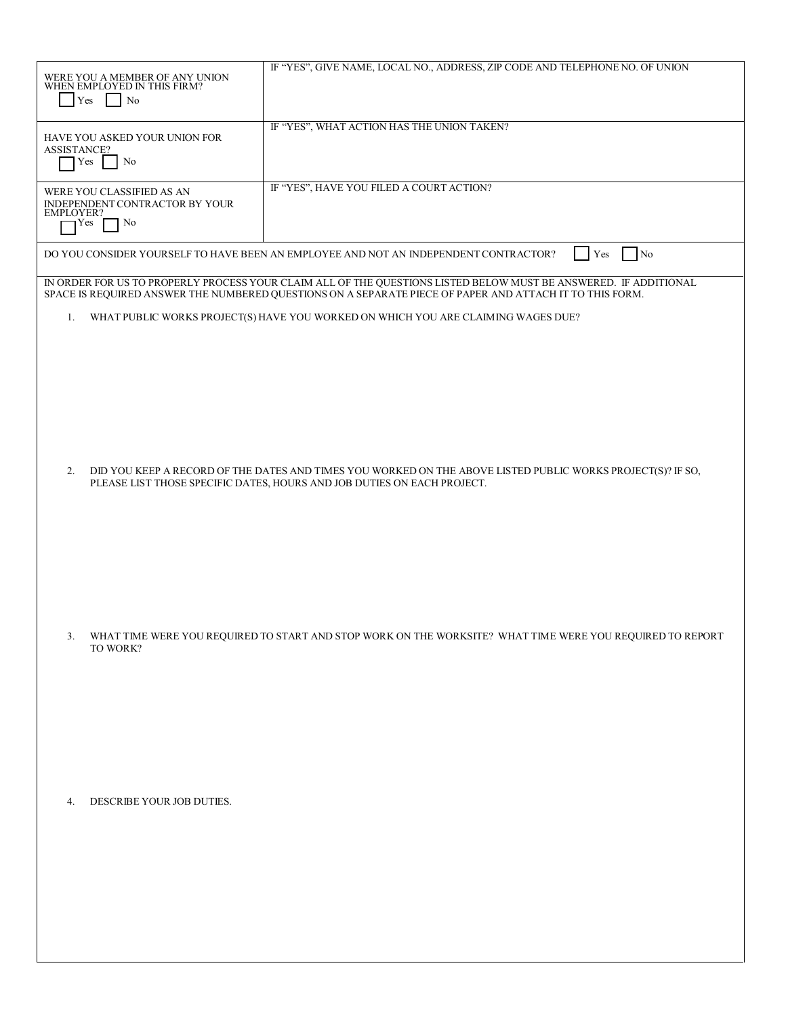| WERE YOU A MEMBER OF ANY UNION WHEN EMPLOYED IN THIS FIRM?<br>Yes<br>N <sub>o</sub> | IF "YES", GIVE NAME, LOCAL NO., ADDRESS, ZIP CODE AND TELEPHONE NO. OF UNION                                     |
|-------------------------------------------------------------------------------------|------------------------------------------------------------------------------------------------------------------|
|                                                                                     | IF "YES", WHAT ACTION HAS THE UNION TAKEN?                                                                       |
| HAVE YOU ASKED YOUR UNION FOR                                                       |                                                                                                                  |
| <b>ASSISTANCE?</b><br>Yes<br>N <sub>0</sub>                                         |                                                                                                                  |
|                                                                                     |                                                                                                                  |
|                                                                                     | IF "YES", HAVE YOU FILED A COURT ACTION?                                                                         |
| WERE YOU CLASSIFIED AS AN<br>INDEPENDENT CONTRACTOR BY YOUR                         |                                                                                                                  |
| <b>EMPLOYER?</b>                                                                    |                                                                                                                  |
| N <sub>0</sub><br>Yes                                                               |                                                                                                                  |
|                                                                                     |                                                                                                                  |
|                                                                                     | DO YOU CONSIDER YOURSELF TO HAVE BEEN AN EMPLOYEE AND NOT AN INDEPENDENT CONTRACTOR?<br>$\sqrt{N_0}$<br>Yes      |
|                                                                                     | IN ORDER FOR US TO PROPERLY PROCESS YOUR CLAIM ALL OF THE QUESTIONS LISTED BELOW MUST BE ANSWERED. IF ADDITIONAL |
|                                                                                     | SPACE IS REQUIRED ANSWER THE NUMBERED QUESTIONS ON A SEPARATE PIECE OF PAPER AND ATTACH IT TO THIS FORM.         |
| 1.                                                                                  | WHAT PUBLIC WORKS PROJECT(S) HAVE YOU WORKED ON WHICH YOU ARE CLAIMING WAGES DUE?                                |
|                                                                                     |                                                                                                                  |
|                                                                                     |                                                                                                                  |
|                                                                                     |                                                                                                                  |
|                                                                                     |                                                                                                                  |
|                                                                                     |                                                                                                                  |
|                                                                                     |                                                                                                                  |
|                                                                                     |                                                                                                                  |
|                                                                                     |                                                                                                                  |
|                                                                                     |                                                                                                                  |
|                                                                                     |                                                                                                                  |
| 2.                                                                                  | DID YOU KEEP A RECORD OF THE DATES AND TIMES YOU WORKED ON THE ABOVE LISTED PUBLIC WORKS PROJECT(S)? IF SO,      |
|                                                                                     | PLEASE LIST THOSE SPECIFIC DATES, HOURS AND JOB DUTIES ON EACH PROJECT.                                          |
|                                                                                     |                                                                                                                  |
|                                                                                     |                                                                                                                  |
|                                                                                     |                                                                                                                  |
|                                                                                     |                                                                                                                  |
|                                                                                     |                                                                                                                  |
|                                                                                     |                                                                                                                  |
|                                                                                     |                                                                                                                  |
|                                                                                     |                                                                                                                  |
|                                                                                     |                                                                                                                  |
| 3.                                                                                  | WHAT TIME WERE YOU REQUIRED TO START AND STOP WORK ON THE WORKSITE? WHAT TIME WERE YOU REQUIRED TO REPORT        |
| TO WORK?                                                                            |                                                                                                                  |
|                                                                                     |                                                                                                                  |
|                                                                                     |                                                                                                                  |
|                                                                                     |                                                                                                                  |
|                                                                                     |                                                                                                                  |
|                                                                                     |                                                                                                                  |
|                                                                                     |                                                                                                                  |
|                                                                                     |                                                                                                                  |
|                                                                                     |                                                                                                                  |
|                                                                                     |                                                                                                                  |
|                                                                                     |                                                                                                                  |
| DESCRIBE YOUR JOB DUTIES.<br>4.                                                     |                                                                                                                  |
|                                                                                     |                                                                                                                  |
|                                                                                     |                                                                                                                  |
|                                                                                     |                                                                                                                  |
|                                                                                     |                                                                                                                  |
|                                                                                     |                                                                                                                  |
|                                                                                     |                                                                                                                  |
|                                                                                     |                                                                                                                  |
|                                                                                     |                                                                                                                  |